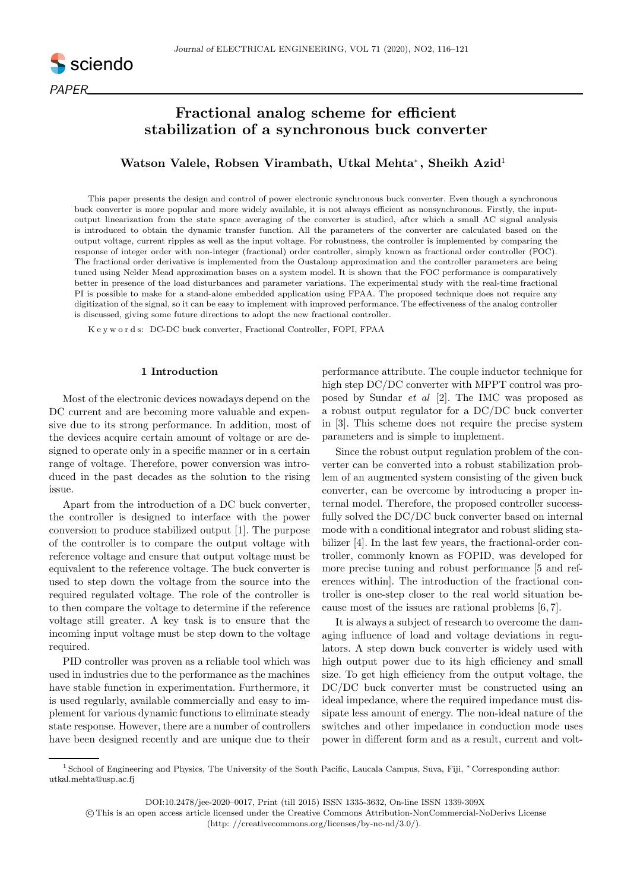

# Fractional analog scheme for efficient stabilization of a synchronous buck converter

Watson Valele, Robsen Virambath, Utkal Mehta<sup>\*</sup>, Sheikh Azid<sup>1</sup>

This paper presents the design and control of power electronic synchronous buck converter. Even though a synchronous buck converter is more popular and more widely available, it is not always efficient as nonsynchronous. Firstly, the inputoutput linearization from the state space averaging of the converter is studied, after which a small AC signal analysis is introduced to obtain the dynamic transfer function. All the parameters of the converter are calculated based on the output voltage, current ripples as well as the input voltage. For robustness, the controller is implemented by comparing the response of integer order with non-integer (fractional) order controller, simply known as fractional order controller (FOC). The fractional order derivative is implemented from the Oustaloup approximation and the controller parameters are being tuned using Nelder Mead approximation bases on a system model. It is shown that the FOC performance is comparatively better in presence of the load disturbances and parameter variations. The experimental study with the real-time fractional PI is possible to make for a stand-alone embedded application using FPAA. The proposed technique does not require any digitization of the signal, so it can be easy to implement with improved performance. The effectiveness of the analog controller is discussed, giving some future directions to adopt the new fractional controller.

K e y w o r d s: DC-DC buck converter, Fractional Controller, FOPI, FPAA

## 1 Introduction

Most of the electronic devices nowadays depend on the DC current and are becoming more valuable and expensive due to its strong performance. In addition, most of the devices acquire certain amount of voltage or are designed to operate only in a specific manner or in a certain range of voltage. Therefore, power conversion was introduced in the past decades as the solution to the rising issue.

Apart from the introduction of a DC buck converter, the controller is designed to interface with the power conversion to produce stabilized output [1]. The purpose of the controller is to compare the output voltage with reference voltage and ensure that output voltage must be equivalent to the reference voltage. The buck converter is used to step down the voltage from the source into the required regulated voltage. The role of the controller is to then compare the voltage to determine if the reference voltage still greater. A key task is to ensure that the incoming input voltage must be step down to the voltage required.

PID controller was proven as a reliable tool which was used in industries due to the performance as the machines have stable function in experimentation. Furthermore, it is used regularly, available commercially and easy to implement for various dynamic functions to eliminate steady state response. However, there are a number of controllers have been designed recently and are unique due to their

performance attribute. The couple inductor technique for high step DC/DC converter with MPPT control was proposed by Sundar et al [2]. The IMC was proposed as a robust output regulator for a DC/DC buck converter in [3]. This scheme does not require the precise system parameters and is simple to implement.

Since the robust output regulation problem of the converter can be converted into a robust stabilization problem of an augmented system consisting of the given buck converter, can be overcome by introducing a proper internal model. Therefore, the proposed controller successfully solved the DC/DC buck converter based on internal mode with a conditional integrator and robust sliding stabilizer [4]. In the last few years, the fractional-order controller, commonly known as FOPID, was developed for more precise tuning and robust performance [5 and references within]. The introduction of the fractional controller is one-step closer to the real world situation because most of the issues are rational problems [6, 7].

It is always a subject of research to overcome the damaging influence of load and voltage deviations in regulators. A step down buck converter is widely used with high output power due to its high efficiency and small size. To get high efficiency from the output voltage, the DC/DC buck converter must be constructed using an ideal impedance, where the required impedance must dissipate less amount of energy. The non-ideal nature of the switches and other impedance in conduction mode uses power in different form and as a result, current and volt-

DOI:10.2478/jee-2020–0017, Print (till 2015) ISSN 1335-3632, On-line ISSN 1339-309X

<sup>1</sup> School of Engineering and Physics, The University of the South Pacific, Laucala Campus, Suva, Fiji, <sup>∗</sup> Corresponding author: utkal.mehta@usp.ac.fj

c This is an open access article licensed under the Creative Commons Attribution-NonCommercial-NoDerivs License (http: //creativecommons.org/licenses/by-nc-nd/3.0/).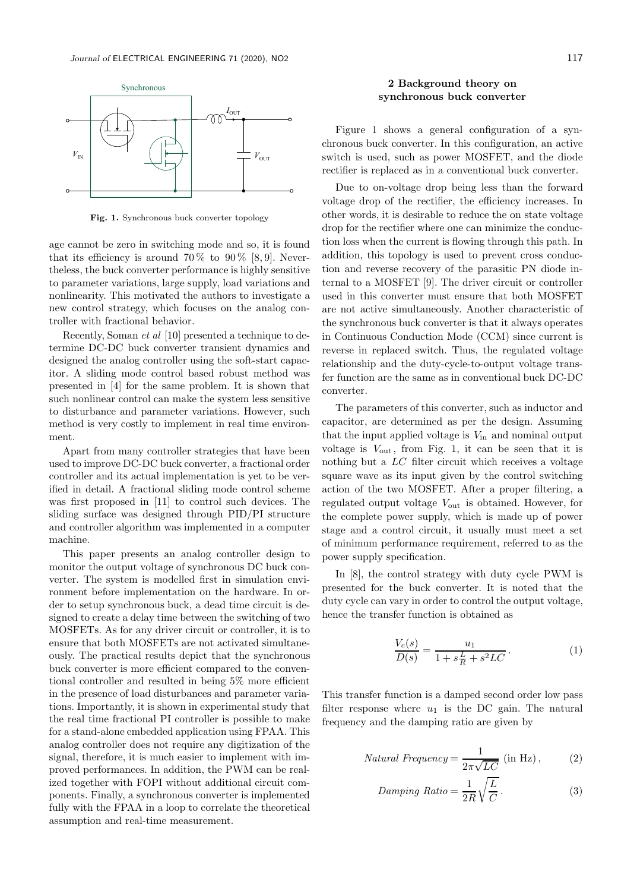

Fig. 1. Synchronous buck converter topology

age cannot be zero in switching mode and so, it is found that its efficiency is around  $70\%$  to  $90\%$  [8,9]. Nevertheless, the buck converter performance is highly sensitive to parameter variations, large supply, load variations and nonlinearity. This motivated the authors to investigate a new control strategy, which focuses on the analog controller with fractional behavior.

Recently, Soman et al [10] presented a technique to determine DC-DC buck converter transient dynamics and designed the analog controller using the soft-start capacitor. A sliding mode control based robust method was presented in [4] for the same problem. It is shown that such nonlinear control can make the system less sensitive to disturbance and parameter variations. However, such method is very costly to implement in real time environment.

Apart from many controller strategies that have been used to improve DC-DC buck converter, a fractional order controller and its actual implementation is yet to be verified in detail. A fractional sliding mode control scheme was first proposed in [11] to control such devices. The sliding surface was designed through PID/PI structure and controller algorithm was implemented in a computer machine.

This paper presents an analog controller design to monitor the output voltage of synchronous DC buck converter. The system is modelled first in simulation environment before implementation on the hardware. In order to setup synchronous buck, a dead time circuit is designed to create a delay time between the switching of two MOSFETs. As for any driver circuit or controller, it is to ensure that both MOSFETs are not activated simultaneously. The practical results depict that the synchronous buck converter is more efficient compared to the conventional controller and resulted in being 5% more efficient in the presence of load disturbances and parameter variations. Importantly, it is shown in experimental study that the real time fractional PI controller is possible to make for a stand-alone embedded application using FPAA. This analog controller does not require any digitization of the signal, therefore, it is much easier to implement with improved performances. In addition, the PWM can be realized together with FOPI without additional circuit components. Finally, a synchronous converter is implemented fully with the FPAA in a loop to correlate the theoretical assumption and real-time measurement.

## 2 Background theory on synchronous buck converter

Figure 1 shows a general configuration of a synchronous buck converter. In this configuration, an active switch is used, such as power MOSFET, and the diode rectifier is replaced as in a conventional buck converter.

Due to on-voltage drop being less than the forward voltage drop of the rectifier, the efficiency increases. In other words, it is desirable to reduce the on state voltage drop for the rectifier where one can minimize the conduction loss when the current is flowing through this path. In addition, this topology is used to prevent cross conduction and reverse recovery of the parasitic PN diode internal to a MOSFET [9]. The driver circuit or controller used in this converter must ensure that both MOSFET are not active simultaneously. Another characteristic of the synchronous buck converter is that it always operates in Continuous Conduction Mode (CCM) since current is reverse in replaced switch. Thus, the regulated voltage relationship and the duty-cycle-to-output voltage transfer function are the same as in conventional buck DC-DC converter.

The parameters of this converter, such as inductor and capacitor, are determined as per the design. Assuming that the input applied voltage is  $V_{\text{in}}$  and nominal output voltage is  $V_{\text{out}}$ , from Fig. 1, it can be seen that it is nothing but a LC filter circuit which receives a voltage square wave as its input given by the control switching action of the two MOSFET. After a proper filtering, a regulated output voltage Vout is obtained. However, for the complete power supply, which is made up of power stage and a control circuit, it usually must meet a set of minimum performance requirement, referred to as the power supply specification.

In [8], the control strategy with duty cycle PWM is presented for the buck converter. It is noted that the duty cycle can vary in order to control the output voltage, hence the transfer function is obtained as

$$
\frac{V_c(s)}{D(s)} = \frac{u_1}{1 + s\frac{L}{R} + s^2 LC}.
$$
 (1)

This transfer function is a damped second order low pass filter response where  $u_1$  is the DC gain. The natural frequency and the damping ratio are given by

$$
Natural\ Frequency = \frac{1}{2\pi\sqrt{LC}}\ (\text{in Hz})\,,\tag{2}
$$

$$
Damping Ratio = \frac{1}{2R} \sqrt{\frac{L}{C}}.
$$
\n(3)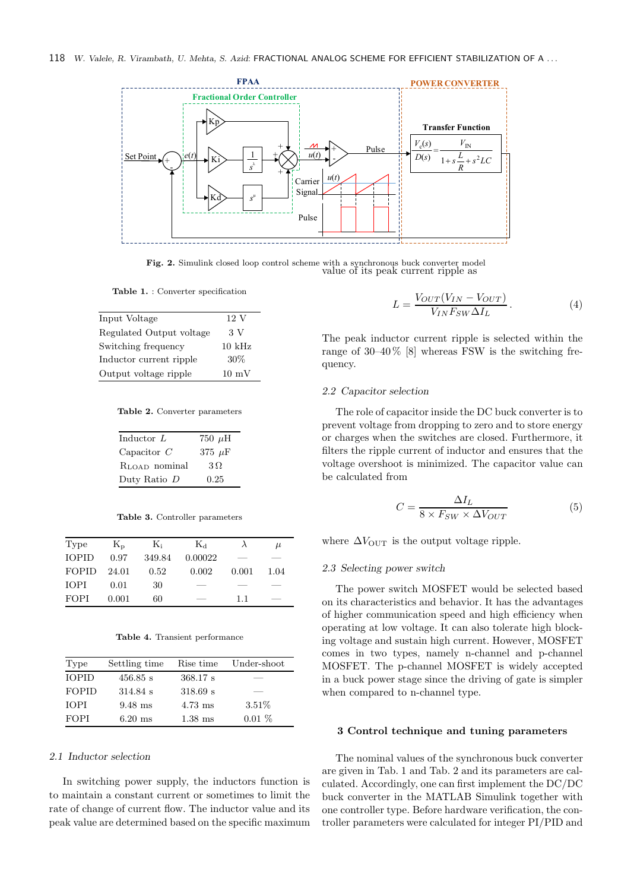

Fig. 2. Simulink closed loop control scheme with a synchronous buck converter model value of its peak current ripple as

Table 1. : Converter specification

| Input Voltage            | 12 V             |
|--------------------------|------------------|
| Regulated Output voltage | 3 V              |
| Switching frequency      | $10 \text{ kHz}$ |
| Inductor current ripple  | $30\%$           |
| Output voltage ripple    | $10 \text{ mV}$  |

Table 2. Converter parameters

| Inductor L                | 750 $\mu$ H |
|---------------------------|-------------|
| Capacitor $C$             | 375 $\mu$ F |
| $R_{\text{LOAD}}$ nominal | 3Ω          |
| Duty Ratio $D$            | 0.25        |

#### Table 3. Controller parameters

| Type         | $K_{p}$ | K:     | $K_d$   | $\lambda$ | $\mu$ |
|--------------|---------|--------|---------|-----------|-------|
| <b>IOPID</b> | 0.97    | 349.84 | 0.00022 |           |       |
| <b>FOPID</b> | -24.01  | 0.52   | 0.002   | 0.001     | 1.04  |
| IOPI         | 0.01    | 30     | ___     |           |       |
| FOPI         | 0.001   | 60     |         | 1.1       |       |

Table 4. Transient performance

| Type         | Settling time | Rise time  | Under-shoot |
|--------------|---------------|------------|-------------|
| <b>IOPID</b> | $456.85$ s    | $368.17$ s |             |
| <b>FOPID</b> | 314.84 s      | 318.69 s   |             |
| IOPI         | $9.48$ ms     | $4.73$ ms  | $3.51\%$    |
| FOPI         | $6.20$ ms     | $1.38$ ms  | $0.01\%$    |

## 2.1 Inductor selection

In switching power supply, the inductors function is to maintain a constant current or sometimes to limit the rate of change of current flow. The inductor value and its peak value are determined based on the specific maximum

$$
L = \frac{V_{OUT}(V_{IN} - V_{OUT})}{V_{IN}F_{SW}\Delta I_L}.
$$
 (4)

The peak inductor current ripple is selected within the range of  $30-40\%$  [8] whereas FSW is the switching frequency.

## 2.2 Capacitor selection

The role of capacitor inside the DC buck converter is to prevent voltage from dropping to zero and to store energy or charges when the switches are closed. Furthermore, it filters the ripple current of inductor and ensures that the voltage overshoot is minimized. The capacitor value can be calculated from

$$
C = \frac{\Delta I_L}{8 \times F_{SW} \times \Delta V_{OUT}}\tag{5}
$$

where  $\Delta V_{\text{OUT}}$  is the output voltage ripple.

### 2.3 Selecting power switch

The power switch MOSFET would be selected based on its characteristics and behavior. It has the advantages of higher communication speed and high efficiency when operating at low voltage. It can also tolerate high blocking voltage and sustain high current. However, MOSFET comes in two types, namely n-channel and p-channel MOSFET. The p-channel MOSFET is widely accepted in a buck power stage since the driving of gate is simpler when compared to n-channel type.

### 3 Control technique and tuning parameters

The nominal values of the synchronous buck converter are given in Tab. 1 and Tab. 2 and its parameters are calculated. Accordingly, one can first implement the DC/DC buck converter in the MATLAB Simulink together with one controller type. Before hardware verification, the controller parameters were calculated for integer PI/PID and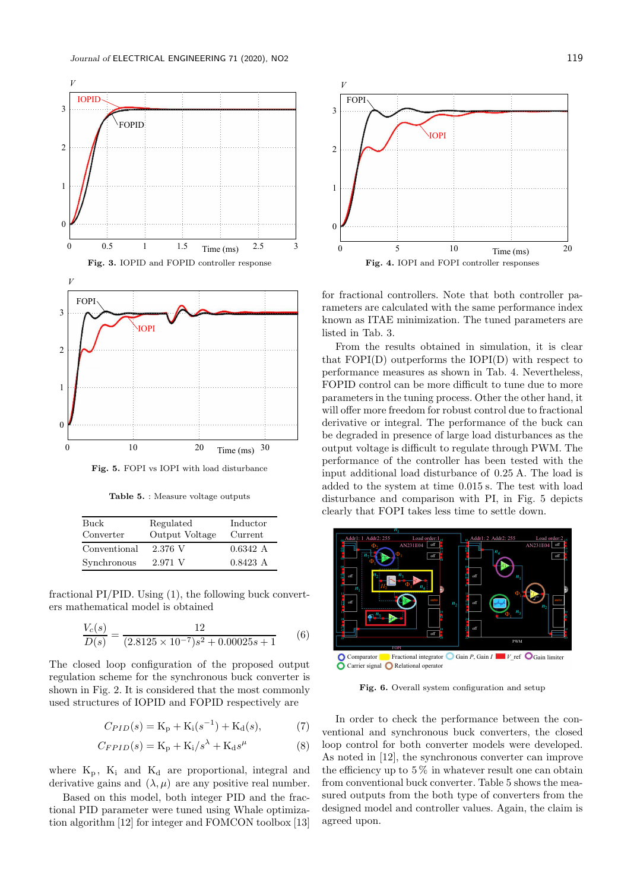

Fig. 5. FOPI vs IOPI with load disturbance

Table 5. : Measure voltage outputs

| Buck<br>Converter | Regulated<br>Output Voltage | Inductor<br>Current |
|-------------------|-----------------------------|---------------------|
| Conventional      | 2.376 V                     | 0.6342A             |
| Synchronous       | 2.971 V                     | 0.8423A             |

fractional PI/PID. Using (1), the following buck converters mathematical model is obtained

$$
\frac{V_c(s)}{D(s)} = \frac{12}{(2.8125 \times 10^{-7})s^2 + 0.00025s + 1}
$$
 (6)

The closed loop configuration of the proposed output regulation scheme for the synchronous buck converter is shown in Fig. 2. It is considered that the most commonly used structures of IOPID and FOPID respectively are

$$
C_{PID}(s) = \mathbf{K}_{\mathbf{p}} + \mathbf{K}_{\mathbf{i}}(s^{-1}) + \mathbf{K}_{\mathbf{d}}(s),\tag{7}
$$

$$
C_{FPID}(s) = \mathbf{K}_{\mathbf{p}} + \mathbf{K}_{\mathbf{i}}/s^{\lambda} + \mathbf{K}_{\mathbf{d}}s^{\mu} \tag{8}
$$

where  $K_p$ ,  $K_i$  and  $K_d$  are proportional, integral and derivative gains and  $(\lambda, \mu)$  are any positive real number.

Based on this model, both integer PID and the fractional PID parameter were tuned using Whale optimization algorithm [12] for integer and FOMCON toolbox [13]



for fractional controllers. Note that both controller parameters are calculated with the same performance index known as ITAE minimization. The tuned parameters are listed in Tab. 3.

From the results obtained in simulation, it is clear that FOPI(D) outperforms the IOPI(D) with respect to performance measures as shown in Tab. 4. Nevertheless, FOPID control can be more difficult to tune due to more parameters in the tuning process. Other the other hand, it will offer more freedom for robust control due to fractional derivative or integral. The performance of the buck can be degraded in presence of large load disturbances as the output voltage is difficult to regulate through PWM. The performance of the controller has been tested with the input additional load disturbance of 0.25 A. The load is added to the system at time 0.015 s. The test with load disturbance and comparison with PI, in Fig. 5 depicts clearly that FOPI takes less time to settle down.



Carrier signal **O** Relational operator

Fig. 6. Overall system configuration and setup

In order to check the performance between the conventional and synchronous buck converters, the closed loop control for both converter models were developed. As noted in [12], the synchronous converter can improve the efficiency up to  $5\,\%$  in whatever result one can obtain from conventional buck converter. Table 5 shows the measured outputs from the both type of converters from the designed model and controller values. Again, the claim is agreed upon.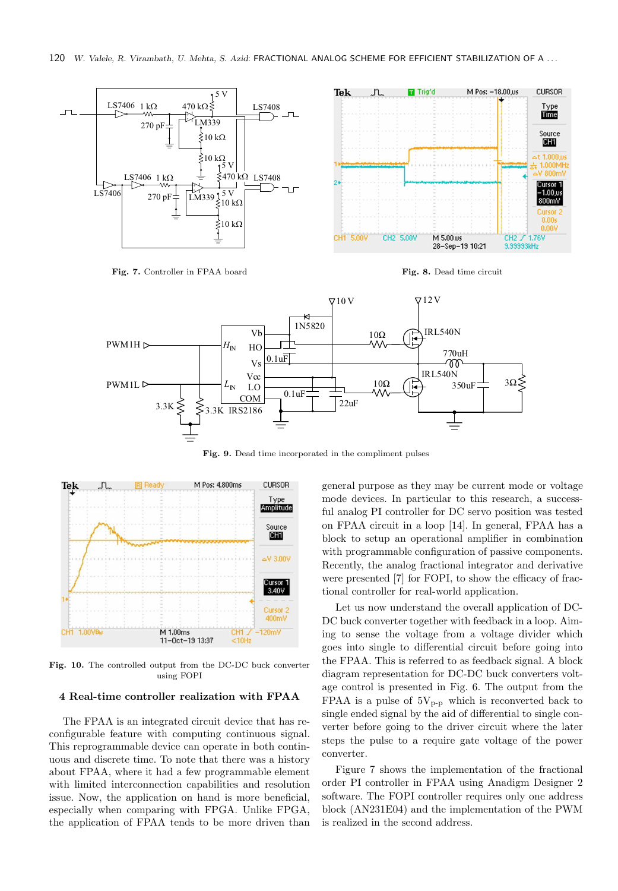

Fig. 7. Controller in FPAA board Fig. 8. Dead time circuit





Fig. 9. Dead time incorporated in the compliment pulses



Fig. 10. The controlled output from the DC-DC buck converter using FOPI

## 4 Real-time controller realization with FPAA

The FPAA is an integrated circuit device that has reconfigurable feature with computing continuous signal. This reprogrammable device can operate in both continuous and discrete time. To note that there was a history about FPAA, where it had a few programmable element with limited interconnection capabilities and resolution issue. Now, the application on hand is more beneficial, especially when comparing with FPGA. Unlike FPGA, the application of FPAA tends to be more driven than general purpose as they may be current mode or voltage mode devices. In particular to this research, a successful analog PI controller for DC servo position was tested on FPAA circuit in a loop [14]. In general, FPAA has a block to setup an operational amplifier in combination with programmable configuration of passive components. Recently, the analog fractional integrator and derivative were presented [7] for FOPI, to show the efficacy of fractional controller for real-world application.

Let us now understand the overall application of DC-DC buck converter together with feedback in a loop. Aiming to sense the voltage from a voltage divider which goes into single to differential circuit before going into the FPAA. This is referred to as feedback signal. A block diagram representation for DC-DC buck converters voltage control is presented in Fig. 6. The output from the FPAA is a pulse of  $5V_{p-p}$  which is reconverted back to single ended signal by the aid of differential to single converter before going to the driver circuit where the later steps the pulse to a require gate voltage of the power converter.

Figure 7 shows the implementation of the fractional order PI controller in FPAA using Anadigm Designer 2 software. The FOPI controller requires only one address block (AN231E04) and the implementation of the PWM is realized in the second address.